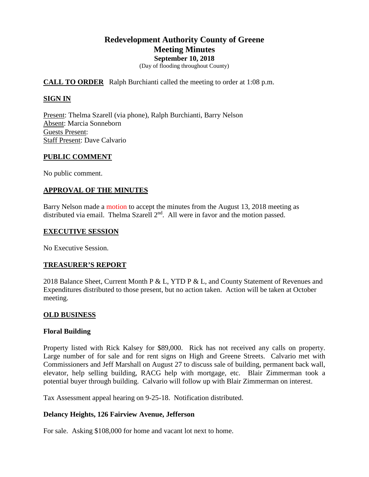# **Redevelopment Authority County of Greene Meeting Minutes September 10, 2018**

(Day of flooding throughout County)

# **CALL TO ORDER** Ralph Burchianti called the meeting to order at 1:08 p.m.

# **SIGN IN**

Present: Thelma Szarell (via phone), Ralph Burchianti, Barry Nelson Absent: Marcia Sonneborn Guests Present: Staff Present: Dave Calvario

## **PUBLIC COMMENT**

No public comment.

# **APPROVAL OF THE MINUTES**

Barry Nelson made a motion to accept the minutes from the August 13, 2018 meeting as distributed via email. Thelma Szarell 2<sup>nd</sup>. All were in favor and the motion passed.

#### **EXECUTIVE SESSION**

No Executive Session.

## **TREASURER'S REPORT**

2018 Balance Sheet, Current Month P & L, YTD P & L, and County Statement of Revenues and Expenditures distributed to those present, but no action taken. Action will be taken at October meeting.

## **OLD BUSINESS**

## **Floral Building**

Property listed with Rick Kalsey for \$89,000. Rick has not received any calls on property. Large number of for sale and for rent signs on High and Greene Streets. Calvario met with Commissioners and Jeff Marshall on August 27 to discuss sale of building, permanent back wall, elevator, help selling building, RACG help with mortgage, etc. Blair Zimmerman took a potential buyer through building. Calvario will follow up with Blair Zimmerman on interest.

Tax Assessment appeal hearing on 9-25-18. Notification distributed.

## **Delancy Heights, 126 Fairview Avenue, Jefferson**

For sale. Asking \$108,000 for home and vacant lot next to home.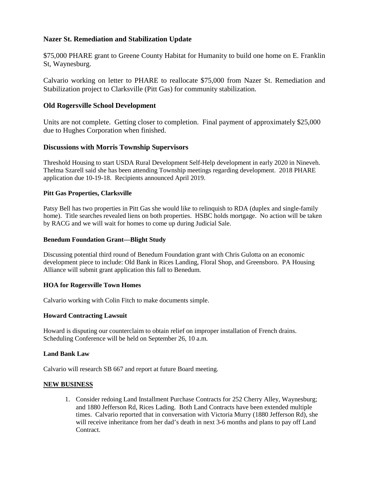# **Nazer St. Remediation and Stabilization Update**

\$75,000 PHARE grant to Greene County Habitat for Humanity to build one home on E. Franklin St, Waynesburg.

Calvario working on letter to PHARE to reallocate \$75,000 from Nazer St. Remediation and Stabilization project to Clarksville (Pitt Gas) for community stabilization.

## **Old Rogersville School Development**

Units are not complete. Getting closer to completion. Final payment of approximately \$25,000 due to Hughes Corporation when finished.

## **Discussions with Morris Township Supervisors**

Threshold Housing to start USDA Rural Development Self-Help development in early 2020 in Nineveh. Thelma Szarell said she has been attending Township meetings regarding development. 2018 PHARE application due 10-19-18. Recipients announced April 2019.

#### **Pitt Gas Properties, Clarksville**

Patsy Bell has two properties in Pitt Gas she would like to relinquish to RDA (duplex and single-family home). Title searches revealed liens on both properties. HSBC holds mortgage. No action will be taken by RACG and we will wait for homes to come up during Judicial Sale.

#### **Benedum Foundation Grant—Blight Study**

Discussing potential third round of Benedum Foundation grant with Chris Gulotta on an economic development piece to include: Old Bank in Rices Landing, Floral Shop, and Greensboro. PA Housing Alliance will submit grant application this fall to Benedum.

#### **HOA for Rogersville Town Homes**

Calvario working with Colin Fitch to make documents simple.

#### **Howard Contracting Lawsuit**

Howard is disputing our counterclaim to obtain relief on improper installation of French drains. Scheduling Conference will be held on September 26, 10 a.m.

#### **Land Bank Law**

Calvario will research SB 667 and report at future Board meeting.

#### **NEW BUSINESS**

1. Consider redoing Land Installment Purchase Contracts for 252 Cherry Alley, Waynesburg; and 1880 Jefferson Rd, Rices Lading. Both Land Contracts have been extended multiple times. Calvario reported that in conversation with Victoria Murry (1880 Jefferson Rd), she will receive inheritance from her dad's death in next 3-6 months and plans to pay off Land Contract.